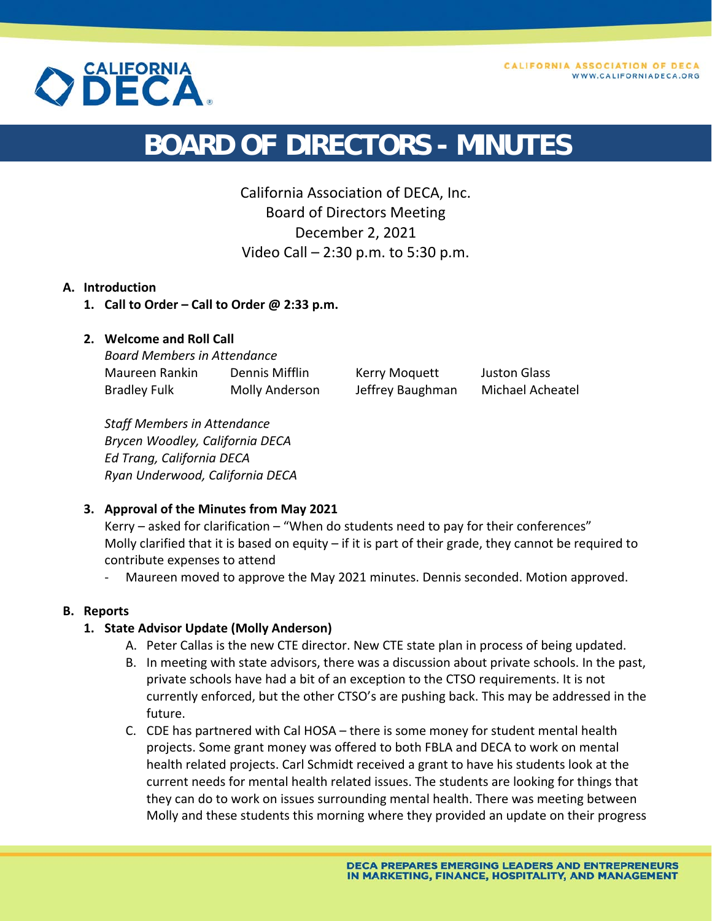



# **BOARD OF DIRECTORS - MINUTES**

California Association of DECA, Inc. Board of Directors Meeting December 2, 2021 Video Call – 2:30 p.m. to 5:30 p.m.

#### **A. Introduction**

**1. Call to Order – Call to Order @ 2:33 p.m.** 

# **2. Welcome and Roll Call**

*Board Members in Attendance*  Maureen Rankin Dennis Mifflin Kerry Moquett Juston Glass Bradley Fulk Molly Anderson Jeffrey Baughman Michael Acheatel

*Staff Members in Attendance Brycen Woodley, California DECA Ed Trang, California DECA Ryan Underwood, California DECA* 

#### **3. Approval of the Minutes from May 2021**

Kerry – asked for clarification – "When do students need to pay for their conferences" Molly clarified that it is based on equity – if it is part of their grade, they cannot be required to contribute expenses to attend

‐ Maureen moved to approve the May 2021 minutes. Dennis seconded. Motion approved.

#### **B. Reports**

#### **1. State Advisor Update (Molly Anderson)**

- A. Peter Callas is the new CTE director. New CTE state plan in process of being updated.
- B. In meeting with state advisors, there was a discussion about private schools. In the past, private schools have had a bit of an exception to the CTSO requirements. It is not currently enforced, but the other CTSO's are pushing back. This may be addressed in the future.
- C. CDE has partnered with Cal HOSA there is some money for student mental health projects. Some grant money was offered to both FBLA and DECA to work on mental health related projects. Carl Schmidt received a grant to have his students look at the current needs for mental health related issues. The students are looking for things that they can do to work on issues surrounding mental health. There was meeting between Molly and these students this morning where they provided an update on their progress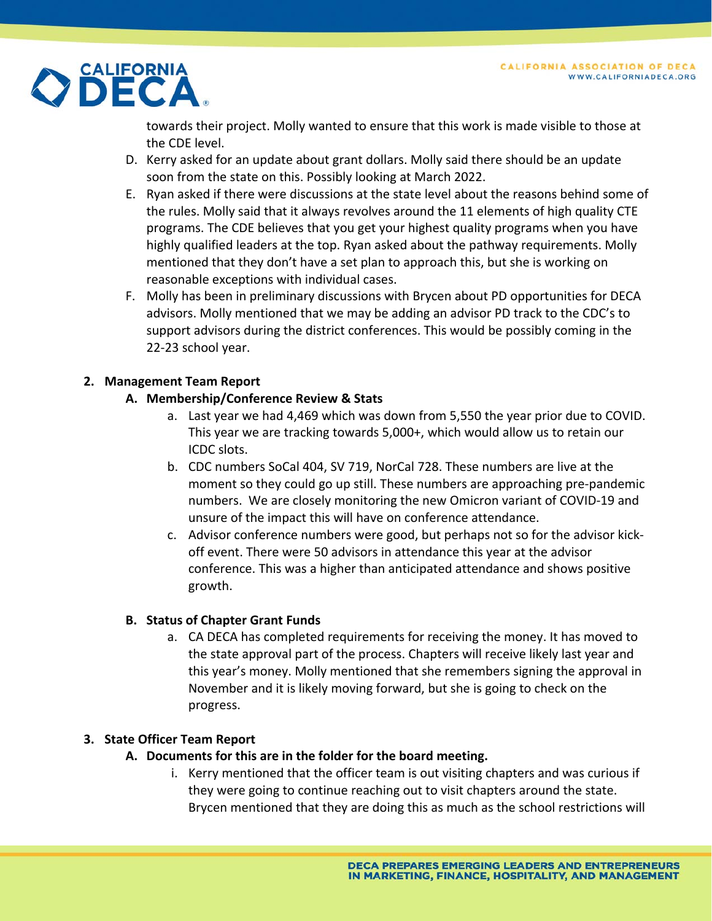

towards their project. Molly wanted to ensure that this work is made visible to those at the CDE level.

- D. Kerry asked for an update about grant dollars. Molly said there should be an update soon from the state on this. Possibly looking at March 2022.
- E. Ryan asked if there were discussions at the state level about the reasons behind some of the rules. Molly said that it always revolves around the 11 elements of high quality CTE programs. The CDE believes that you get your highest quality programs when you have highly qualified leaders at the top. Ryan asked about the pathway requirements. Molly mentioned that they don't have a set plan to approach this, but she is working on reasonable exceptions with individual cases.
- F. Molly has been in preliminary discussions with Brycen about PD opportunities for DECA advisors. Molly mentioned that we may be adding an advisor PD track to the CDC's to support advisors during the district conferences. This would be possibly coming in the 22‐23 school year.

# **2. Management Team Report**

# **A. Membership/Conference Review & Stats**

- a. Last year we had 4,469 which was down from 5,550 the year prior due to COVID. This year we are tracking towards 5,000+, which would allow us to retain our ICDC slots.
- b. CDC numbers SoCal 404, SV 719, NorCal 728. These numbers are live at the moment so they could go up still. These numbers are approaching pre‐pandemic numbers. We are closely monitoring the new Omicron variant of COVID‐19 and unsure of the impact this will have on conference attendance.
- c. Advisor conference numbers were good, but perhaps not so for the advisor kick‐ off event. There were 50 advisors in attendance this year at the advisor conference. This was a higher than anticipated attendance and shows positive growth.

# **B. Status of Chapter Grant Funds**

a. CA DECA has completed requirements for receiving the money. It has moved to the state approval part of the process. Chapters will receive likely last year and this year's money. Molly mentioned that she remembers signing the approval in November and it is likely moving forward, but she is going to check on the progress.

# **3. State Officer Team Report**

- **A. Documents for this are in the folder for the board meeting.** 
	- i. Kerry mentioned that the officer team is out visiting chapters and was curious if they were going to continue reaching out to visit chapters around the state. Brycen mentioned that they are doing this as much as the school restrictions will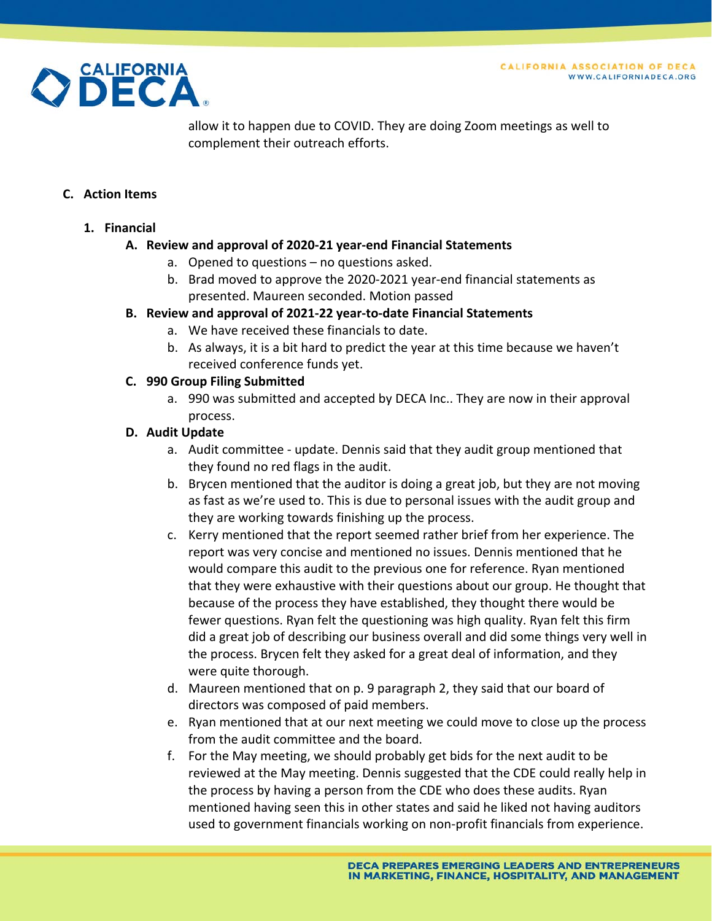

allow it to happen due to COVID. They are doing Zoom meetings as well to complement their outreach efforts.

#### **C. Action Items**

#### **1. Financial**

#### **A. Review and approval of 2020‐21 year‐end Financial Statements**

- a. Opened to questions no questions asked.
- b. Brad moved to approve the 2020‐2021 year‐end financial statements as presented. Maureen seconded. Motion passed

#### **B. Review and approval of 2021‐22 year‐to‐date Financial Statements**

- a. We have received these financials to date.
- b. As always, it is a bit hard to predict the year at this time because we haven't received conference funds yet.

#### **C. 990 Group Filing Submitted**

a. 990 was submitted and accepted by DECA Inc.. They are now in their approval process.

#### **D. Audit Update**

- a. Audit committee ‐ update. Dennis said that they audit group mentioned that they found no red flags in the audit.
- b. Brycen mentioned that the auditor is doing a great job, but they are not moving as fast as we're used to. This is due to personal issues with the audit group and they are working towards finishing up the process.
- c. Kerry mentioned that the report seemed rather brief from her experience. The report was very concise and mentioned no issues. Dennis mentioned that he would compare this audit to the previous one for reference. Ryan mentioned that they were exhaustive with their questions about our group. He thought that because of the process they have established, they thought there would be fewer questions. Ryan felt the questioning was high quality. Ryan felt this firm did a great job of describing our business overall and did some things very well in the process. Brycen felt they asked for a great deal of information, and they were quite thorough.
- d. Maureen mentioned that on p. 9 paragraph 2, they said that our board of directors was composed of paid members.
- e. Ryan mentioned that at our next meeting we could move to close up the process from the audit committee and the board.
- f. For the May meeting, we should probably get bids for the next audit to be reviewed at the May meeting. Dennis suggested that the CDE could really help in the process by having a person from the CDE who does these audits. Ryan mentioned having seen this in other states and said he liked not having auditors used to government financials working on non‐profit financials from experience.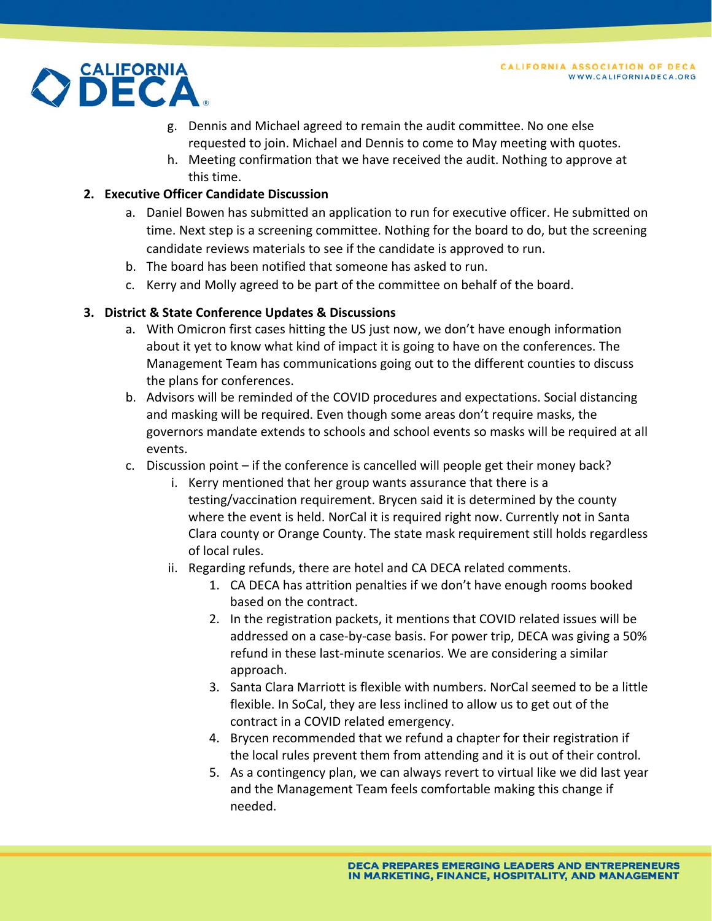

- g. Dennis and Michael agreed to remain the audit committee. No one else requested to join. Michael and Dennis to come to May meeting with quotes.
- h. Meeting confirmation that we have received the audit. Nothing to approve at this time.

# **2. Executive Officer Candidate Discussion**

- a. Daniel Bowen has submitted an application to run for executive officer. He submitted on time. Next step is a screening committee. Nothing for the board to do, but the screening candidate reviews materials to see if the candidate is approved to run.
- b. The board has been notified that someone has asked to run.
- c. Kerry and Molly agreed to be part of the committee on behalf of the board.

# **3. District & State Conference Updates & Discussions**

- a. With Omicron first cases hitting the US just now, we don't have enough information about it yet to know what kind of impact it is going to have on the conferences. The Management Team has communications going out to the different counties to discuss the plans for conferences.
- b. Advisors will be reminded of the COVID procedures and expectations. Social distancing and masking will be required. Even though some areas don't require masks, the governors mandate extends to schools and school events so masks will be required at all events.
- c. Discussion point if the conference is cancelled will people get their money back?
	- i. Kerry mentioned that her group wants assurance that there is a testing/vaccination requirement. Brycen said it is determined by the county where the event is held. NorCal it is required right now. Currently not in Santa Clara county or Orange County. The state mask requirement still holds regardless of local rules.
	- ii. Regarding refunds, there are hotel and CA DECA related comments.
		- 1. CA DECA has attrition penalties if we don't have enough rooms booked based on the contract.
		- 2. In the registration packets, it mentions that COVID related issues will be addressed on a case‐by‐case basis. For power trip, DECA was giving a 50% refund in these last‐minute scenarios. We are considering a similar approach.
		- 3. Santa Clara Marriott is flexible with numbers. NorCal seemed to be a little flexible. In SoCal, they are less inclined to allow us to get out of the contract in a COVID related emergency.
		- 4. Brycen recommended that we refund a chapter for their registration if the local rules prevent them from attending and it is out of their control.
		- 5. As a contingency plan, we can always revert to virtual like we did last year and the Management Team feels comfortable making this change if needed.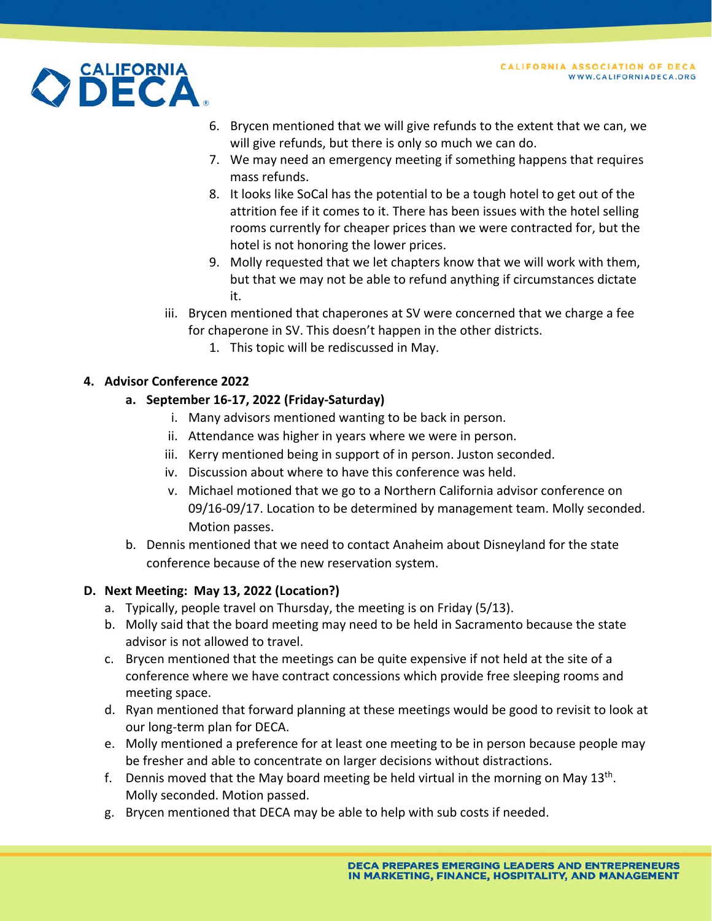

- 6. Brycen mentioned that we will give refunds to the extent that we can, we will give refunds, but there is only so much we can do.
- 7. We may need an emergency meeting if something happens that requires mass refunds.
- 8. It looks like SoCal has the potential to be a tough hotel to get out of the attrition fee if it comes to it. There has been issues with the hotel selling rooms currently for cheaper prices than we were contracted for, but the hotel is not honoring the lower prices.
- 9. Molly requested that we let chapters know that we will work with them, but that we may not be able to refund anything if circumstances dictate it.
- iii. Brycen mentioned that chaperones at SV were concerned that we charge a fee for chaperone in SV. This doesn't happen in the other districts.
	- 1. This topic will be rediscussed in May.

# **4. Advisor Conference 2022**

# **a. September 16‐17, 2022 (Friday‐Saturday)**

- i. Many advisors mentioned wanting to be back in person.
- ii. Attendance was higher in years where we were in person.
- iii. Kerry mentioned being in support of in person. Juston seconded.
- iv. Discussion about where to have this conference was held.
- v. Michael motioned that we go to a Northern California advisor conference on 09/16‐09/17. Location to be determined by management team. Molly seconded. Motion passes.
- b. Dennis mentioned that we need to contact Anaheim about Disneyland for the state conference because of the new reservation system.

# **D. Next Meeting: May 13, 2022 (Location?)**

- a. Typically, people travel on Thursday, the meeting is on Friday (5/13).
- b. Molly said that the board meeting may need to be held in Sacramento because the state advisor is not allowed to travel.
- c. Brycen mentioned that the meetings can be quite expensive if not held at the site of a conference where we have contract concessions which provide free sleeping rooms and meeting space.
- d. Ryan mentioned that forward planning at these meetings would be good to revisit to look at our long‐term plan for DECA.
- e. Molly mentioned a preference for at least one meeting to be in person because people may be fresher and able to concentrate on larger decisions without distractions.
- f. Dennis moved that the May board meeting be held virtual in the morning on May  $13<sup>th</sup>$ . Molly seconded. Motion passed.
- g. Brycen mentioned that DECA may be able to help with sub costs if needed.